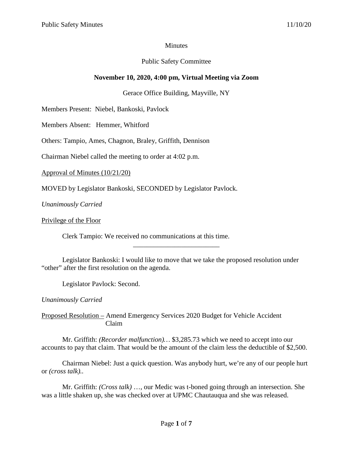## **Minutes**

# Public Safety Committee

# **November 10, 2020, 4:00 pm, Virtual Meeting via Zoom**

# Gerace Office Building, Mayville, NY

Members Present: Niebel, Bankoski, Pavlock

Members Absent: Hemmer, Whitford

Others: Tampio, Ames, Chagnon, Braley, Griffith, Dennison

Chairman Niebel called the meeting to order at 4:02 p.m.

Approval of Minutes (10/21/20)

MOVED by Legislator Bankoski, SECONDED by Legislator Pavlock.

*Unanimously Carried*

Privilege of the Floor

Clerk Tampio: We received no communications at this time.

Legislator Bankoski: I would like to move that we take the proposed resolution under "other" after the first resolution on the agenda.

\_\_\_\_\_\_\_\_\_\_\_\_\_\_\_\_\_\_\_\_\_\_\_\_\_

Legislator Pavlock: Second.

*Unanimously Carried*

Proposed Resolution – Amend Emergency Services 2020 Budget for Vehicle Accident Claim

Mr. Griffith: *(Recorder malfunction)…* \$3,285.73 which we need to accept into our accounts to pay that claim. That would be the amount of the claim less the deductible of \$2,500.

Chairman Niebel: Just a quick question. Was anybody hurt, we're any of our people hurt or *(cross talk)..*

Mr. Griffith: *(Cross talk)* …, our Medic was t-boned going through an intersection. She was a little shaken up, she was checked over at UPMC Chautauqua and she was released.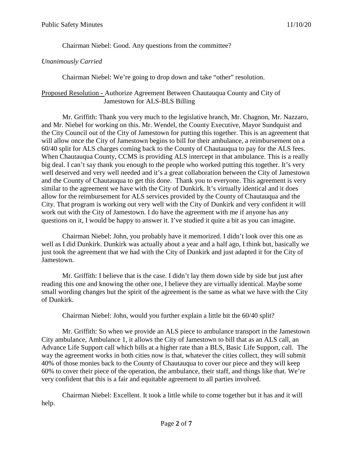Chairman Niebel: Good. Any questions from the committee?

## *Unanimously Carried*

Chairman Niebel: We're going to drop down and take "other" resolution.

## Proposed Resolution - Authorize Agreement Between Chautauqua County and City of Jamestown for ALS-BLS Billing

Mr. Griffith: Thank you very much to the legislative branch, Mr. Chagnon, Mr. Nazzaro, and Mr. Niebel for working on this. Mr. Wendel, the County Executive, Mayor Sundquist and the City Council out of the City of Jamestown for putting this together. This is an agreement that will allow once the City of Jamestown begins to bill for their ambulance, a reimbursement on a 60/40 split for ALS charges coming back to the County of Chautauqua to pay for the ALS fees. When Chautauqua County, CCMS is providing ALS intercept in that ambulance. This is a really big deal. I can't say thank you enough to the people who worked putting this together. It's very well deserved and very well needed and it's a great collaboration between the City of Jamestown and the County of Chautauqua to get this done. Thank you to everyone. This agreement is very similar to the agreement we have with the City of Dunkirk. It's virtually identical and it does allow for the reimbursement for ALS services provided by the County of Chautauqua and the City. That program is working out very well with the City of Dunkirk and very confident it will work out with the City of Jamestown. I do have the agreement with me if anyone has any questions on it, I would be happy to answer it. I've studied it quite a bit as you can imagine.

Chairman Niebel: John, you probably have it memorized. I didn't look over this one as well as I did Dunkirk. Dunkirk was actually about a year and a half ago, I think but, basically we just took the agreement that we had with the City of Dunkirk and just adapted it for the City of Jamestown.

Mr. Griffith: I believe that is the case. I didn't lay them down side by side but just after reading this one and knowing the other one, I believe they are virtually identical. Maybe some small wording changes but the spirit of the agreement is the same as what we have with the City of Dunkirk.

Chairman Niebel: John, would you further explain a little bit the 60/40 split?

Mr. Griffith: So when we provide an ALS piece to ambulance transport in the Jamestown City ambulance, Ambulance 1, it allows the City of Jamestown to bill that as an ALS call, an Advance Life Support call which bills at a higher rate than a BLS, Basic Life Support, call. The way the agreement works in both cities now is that, whatever the cities collect, they will submit 40% of those monies back to the County of Chautauqua to cover our piece and they will keep 60% to cover their piece of the operation, the ambulance, their staff, and things like that. We're very confident that this is a fair and equitable agreement to all parties involved.

Chairman Niebel: Excellent. It took a little while to come together but it has and it will help.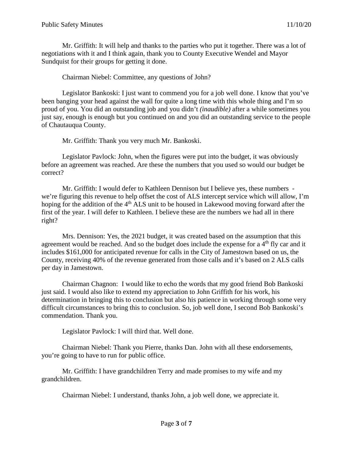Mr. Griffith: It will help and thanks to the parties who put it together. There was a lot of negotiations with it and I think again, thank you to County Executive Wendel and Mayor Sundquist for their groups for getting it done.

Chairman Niebel: Committee, any questions of John?

Legislator Bankoski: I just want to commend you for a job well done. I know that you've been banging your head against the wall for quite a long time with this whole thing and I'm so proud of you. You did an outstanding job and you didn't *(inaudible)* after a while sometimes you just say, enough is enough but you continued on and you did an outstanding service to the people of Chautauqua County.

Mr. Griffith: Thank you very much Mr. Bankoski.

Legislator Pavlock: John, when the figures were put into the budget, it was obviously before an agreement was reached. Are these the numbers that you used so would our budget be correct?

Mr. Griffith: I would defer to Kathleen Dennison but I believe yes, these numbers we're figuring this revenue to help offset the cost of ALS intercept service which will allow, I'm hoping for the addition of the 4<sup>th</sup> ALS unit to be housed in Lakewood moving forward after the first of the year. I will defer to Kathleen. I believe these are the numbers we had all in there right?

Mrs. Dennison: Yes, the 2021 budget, it was created based on the assumption that this agreement would be reached. And so the budget does include the expense for a  $4<sup>th</sup>$  fly car and it includes \$161,000 for anticipated revenue for calls in the City of Jamestown based on us, the County, receiving 40% of the revenue generated from those calls and it's based on 2 ALS calls per day in Jamestown.

Chairman Chagnon: I would like to echo the words that my good friend Bob Bankoski just said. I would also like to extend my appreciation to John Griffith for his work, his determination in bringing this to conclusion but also his patience in working through some very difficult circumstances to bring this to conclusion. So, job well done, I second Bob Bankoski's commendation. Thank you.

Legislator Pavlock: I will third that. Well done.

Chairman Niebel: Thank you Pierre, thanks Dan. John with all these endorsements, you're going to have to run for public office.

Mr. Griffith: I have grandchildren Terry and made promises to my wife and my grandchildren.

Chairman Niebel: I understand, thanks John, a job well done, we appreciate it.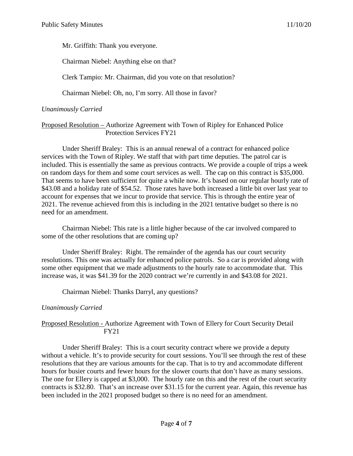Mr. Griffith: Thank you everyone.

Chairman Niebel: Anything else on that?

Clerk Tampio: Mr. Chairman, did you vote on that resolution?

Chairman Niebel: Oh, no, I'm sorry. All those in favor?

## *Unanimously Carried*

### Proposed Resolution – Authorize Agreement with Town of Ripley for Enhanced Police Protection Services FY21

Under Sheriff Braley: This is an annual renewal of a contract for enhanced police services with the Town of Ripley. We staff that with part time deputies. The patrol car is included. This is essentially the same as previous contracts. We provide a couple of trips a week on random days for them and some court services as well. The cap on this contract is \$35,000. That seems to have been sufficient for quite a while now. It's based on our regular hourly rate of \$43.08 and a holiday rate of \$54.52. Those rates have both increased a little bit over last year to account for expenses that we incur to provide that service. This is through the entire year of 2021. The revenue achieved from this is including in the 2021 tentative budget so there is no need for an amendment.

Chairman Niebel: This rate is a little higher because of the car involved compared to some of the other resolutions that are coming up?

Under Sheriff Braley: Right. The remainder of the agenda has our court security resolutions. This one was actually for enhanced police patrols. So a car is provided along with some other equipment that we made adjustments to the hourly rate to accommodate that. This increase was, it was \$41.39 for the 2020 contract we're currently in and \$43.08 for 2021.

Chairman Niebel: Thanks Darryl, any questions?

# *Unanimously Carried*

### Proposed Resolution - Authorize Agreement with Town of Ellery for Court Security Detail FY21

Under Sheriff Braley: This is a court security contract where we provide a deputy without a vehicle. It's to provide security for court sessions. You'll see through the rest of these resolutions that they are various amounts for the cap. That is to try and accommodate different hours for busier courts and fewer hours for the slower courts that don't have as many sessions. The one for Ellery is capped at \$3,000. The hourly rate on this and the rest of the court security contracts is \$32.80. That's an increase over \$31.15 for the current year. Again, this revenue has been included in the 2021 proposed budget so there is no need for an amendment.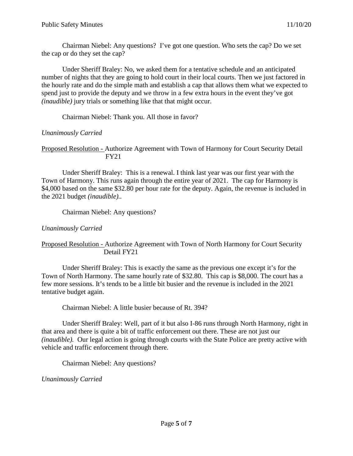Chairman Niebel: Any questions? I've got one question. Who sets the cap? Do we set the cap or do they set the cap?

Under Sheriff Braley: No, we asked them for a tentative schedule and an anticipated number of nights that they are going to hold court in their local courts. Then we just factored in the hourly rate and do the simple math and establish a cap that allows them what we expected to spend just to provide the deputy and we throw in a few extra hours in the event they've got *(inaudible)* jury trials or something like that that might occur.

Chairman Niebel: Thank you. All those in favor?

*Unanimously Carried*

Proposed Resolution - Authorize Agreement with Town of Harmony for Court Security Detail FY21

Under Sheriff Braley: This is a renewal. I think last year was our first year with the Town of Harmony. This runs again through the entire year of 2021. The cap for Harmony is \$4,000 based on the same \$32.80 per hour rate for the deputy. Again, the revenue is included in the 2021 budget *(inaudible)..*

Chairman Niebel: Any questions?

*Unanimously Carried*

### Proposed Resolution - Authorize Agreement with Town of North Harmony for Court Security Detail FY21

Under Sheriff Braley: This is exactly the same as the previous one except it's for the Town of North Harmony. The same hourly rate of \$32.80. This cap is \$8,000. The court has a few more sessions. It's tends to be a little bit busier and the revenue is included in the 2021 tentative budget again.

Chairman Niebel: A little busier because of Rt. 394?

Under Sheriff Braley: Well, part of it but also I-86 runs through North Harmony, right in that area and there is quite a bit of traffic enforcement out there. These are not just our *(inaudible).* Our legal action is going through courts with the State Police are pretty active with vehicle and traffic enforcement through there.

Chairman Niebel: Any questions?

*Unanimously Carried*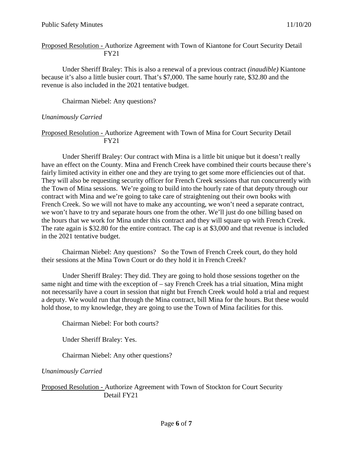Proposed Resolution - Authorize Agreement with Town of Kiantone for Court Security Detail FY21

Under Sheriff Braley: This is also a renewal of a previous contract *(inaudible)* Kiantone because it's also a little busier court. That's \$7,000. The same hourly rate, \$32.80 and the revenue is also included in the 2021 tentative budget.

Chairman Niebel: Any questions?

## *Unanimously Carried*

### Proposed Resolution - Authorize Agreement with Town of Mina for Court Security Detail FY21

Under Sheriff Braley: Our contract with Mina is a little bit unique but it doesn't really have an effect on the County. Mina and French Creek have combined their courts because there's fairly limited activity in either one and they are trying to get some more efficiencies out of that. They will also be requesting security officer for French Creek sessions that run concurrently with the Town of Mina sessions. We're going to build into the hourly rate of that deputy through our contract with Mina and we're going to take care of straightening out their own books with French Creek. So we will not have to make any accounting, we won't need a separate contract, we won't have to try and separate hours one from the other. We'll just do one billing based on the hours that we work for Mina under this contract and they will square up with French Creek. The rate again is \$32.80 for the entire contract. The cap is at \$3,000 and that revenue is included in the 2021 tentative budget.

Chairman Niebel: Any questions? So the Town of French Creek court, do they hold their sessions at the Mina Town Court or do they hold it in French Creek?

Under Sheriff Braley: They did. They are going to hold those sessions together on the same night and time with the exception of – say French Creek has a trial situation, Mina might not necessarily have a court in session that night but French Creek would hold a trial and request a deputy. We would run that through the Mina contract, bill Mina for the hours. But these would hold those, to my knowledge, they are going to use the Town of Mina facilities for this.

Chairman Niebel: For both courts?

Under Sheriff Braley: Yes.

Chairman Niebel: Any other questions?

*Unanimously Carried*

Proposed Resolution - Authorize Agreement with Town of Stockton for Court Security Detail FY21